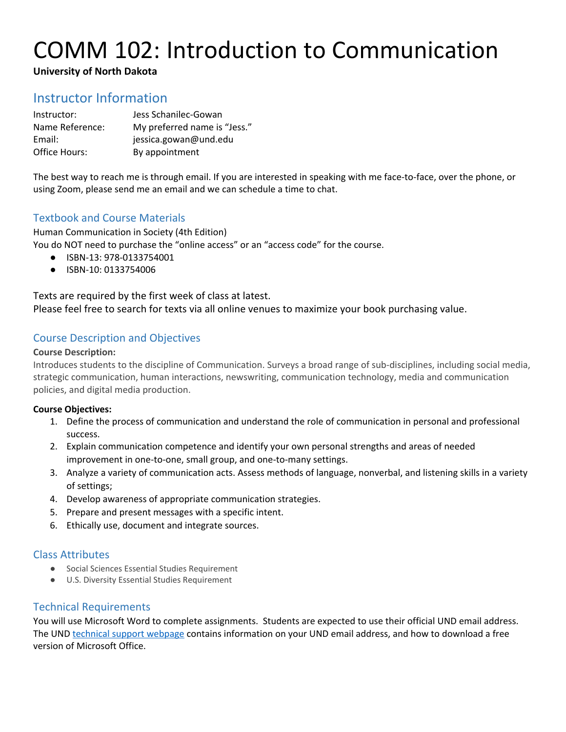# COMM 102: Introduction to Communication

**University of North Dakota**

# Instructor Information

| Instructor:     | Jess Schanilec-Gowan         |
|-----------------|------------------------------|
| Name Reference: | My preferred name is "Jess." |
| Email:          | jessica.gowan@und.edu        |
| Office Hours:   | By appointment               |

The best way to reach me is through email. If you are interested in speaking with me face-to-face, over the phone, or using Zoom, please send me an email and we can schedule a time to chat.

## Textbook and Course Materials

Human Communication in Society (4th Edition) You do NOT need to purchase the "online access" or an "access code" for the course.

- ISBN-13: 978-0133754001
- ISBN-10: 0133754006

Texts are required by the first week of class at latest. Please feel free to search for texts via all online venues to maximize your book purchasing value.

# Course Description and Objectives

#### **Course Description:**

Introduces students to the discipline of Communication. Surveys a broad range of sub-disciplines, including social media, strategic communication, human interactions, newswriting, communication technology, media and communication policies, and digital media production.

#### **Course Objectives:**

- 1. Define the process of communication and understand the role of communication in personal and professional success.
- 2. Explain communication competence and identify your own personal strengths and areas of needed improvement in one-to-one, small group, and one-to-many settings.
- 3. Analyze a variety of communication acts. Assess methods of language, nonverbal, and listening skills in a variety of settings;
- 4. Develop awareness of appropriate communication strategies.
- 5. Prepare and present messages with a specific intent.
- 6. Ethically use, document and integrate sources.

#### Class Attributes

- Social Sciences Essential Studies Requirement
- U.S. Diversity Essential Studies Requirement

#### Technical Requirements

You will use Microsoft Word to complete assignments. Students are expected to use their official UND email address. The UND technical support [webpage](https://und.edu/uit/email.html) contains information on your UND email address, and how to download a free version of Microsoft Office.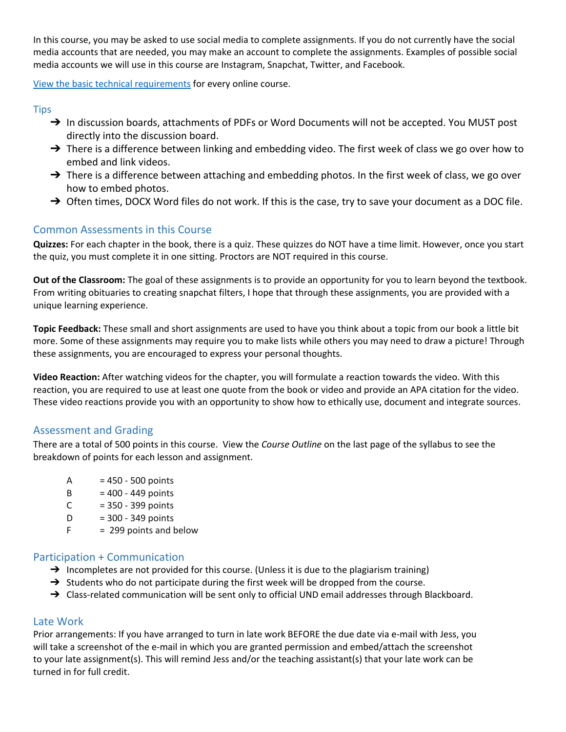In this course, you may be asked to use social media to complete assignments. If you do not currently have the social media accounts that are needed, you may make an account to complete the assignments. Examples of possible social media accounts we will use in this course are Instagram, Snapchat, Twitter, and Facebook.

View the basic technical [requirements](https://und.teamdynamix.com/TDClient/KB/ArticleDet?ID=60552) for every online course.

#### **Tips**

- → In discussion boards, attachments of PDFs or Word Documents will not be accepted. You MUST post directly into the discussion board.
- → There is a difference between linking and embedding video. The first week of class we go over how to embed and link videos.
- $\rightarrow$  There is a difference between attaching and embedding photos. In the first week of class, we go over how to embed photos.
- → Often times, DOCX Word files do not work. If this is the case, try to save your document as a DOC file.

## Common Assessments in this Course

**Quizzes:** For each chapter in the book, there is a quiz. These quizzes do NOT have a time limit. However, once you start the quiz, you must complete it in one sitting. Proctors are NOT required in this course.

**Out of the Classroom:** The goal of these assignments is to provide an opportunity for you to learn beyond the textbook. From writing obituaries to creating snapchat filters, I hope that through these assignments, you are provided with a unique learning experience.

**Topic Feedback:** These small and short assignments are used to have you think about a topic from our book a little bit more. Some of these assignments may require you to make lists while others you may need to draw a picture! Through these assignments, you are encouraged to express your personal thoughts.

**Video Reaction:** After watching videos for the chapter, you will formulate a reaction towards the video. With this reaction, you are required to use at least one quote from the book or video and provide an APA citation for the video. These video reactions provide you with an opportunity to show how to ethically use, document and integrate sources.

#### Assessment and Grading

There are a total of 500 points in this course. View the *Course Outline* on the last page of the syllabus to see the breakdown of points for each lesson and assignment.

- $A = 450 500$  points
- $B = 400 449$  points
- $C = 350 399$  points
- $D = 300 349$  points
- $F = 299$  points and below

#### Participation + Communication

- $\rightarrow$  Incompletes are not provided for this course. (Unless it is due to the plagiarism training)
- $\rightarrow$  Students who do not participate during the first week will be dropped from the course.
- → Class-related communication will be sent only to official UND email addresses through Blackboard.

#### Late Work

Prior arrangements: If you have arranged to turn in late work BEFORE the due date via e-mail with Jess, you will take a screenshot of the e-mail in which you are granted permission and embed/attach the screenshot to your late assignment(s). This will remind Jess and/or the teaching assistant(s) that your late work can be turned in for full credit.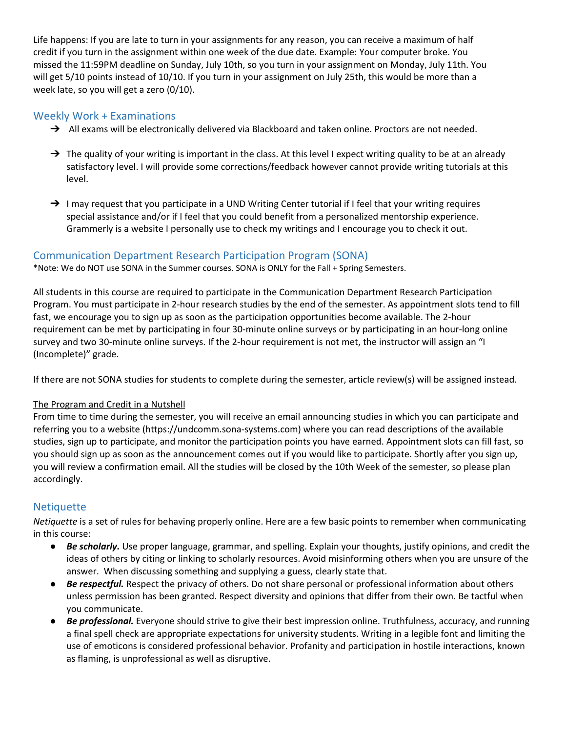Life happens: If you are late to turn in your assignments for any reason, you can receive a maximum of half credit if you turn in the assignment within one week of the due date. Example: Your computer broke. You missed the 11:59PM deadline on Sunday, July 10th, so you turn in your assignment on Monday, July 11th. You will get 5/10 points instead of 10/10. If you turn in your assignment on July 25th, this would be more than a week late, so you will get a zero (0/10).

# Weekly Work + Examinations

- → All exams will be electronically delivered via Blackboard and taken online. Proctors are not needed.
- $\rightarrow$  The quality of your writing is important in the class. At this level I expect writing quality to be at an already satisfactory level. I will provide some corrections/feedback however cannot provide writing tutorials at this level.
- → I may request that you participate in a UND Writing Center tutorial if I feel that your writing requires special assistance and/or if I feel that you could benefit from a personalized mentorship experience. Grammerly is a website I personally use to check my writings and I encourage you to check it out.

## Communication Department Research Participation Program (SONA)

\*Note: We do NOT use SONA in the Summer courses. SONA is ONLY for the Fall + Spring Semesters.

All students in this course are required to participate in the Communication Department Research Participation Program. You must participate in 2-hour research studies by the end of the semester. As appointment slots tend to fill fast, we encourage you to sign up as soon as the participation opportunities become available. The 2-hour requirement can be met by participating in four 30-minute online surveys or by participating in an hour-long online survey and two 30-minute online surveys. If the 2-hour requirement is not met, the instructor will assign an "I (Incomplete)" grade.

If there are not SONA studies for students to complete during the semester, article review(s) will be assigned instead.

#### The Program and Credit in a Nutshell

From time to time during the semester, you will receive an email announcing studies in which you can participate and referring you to a website (https://undcomm.sona-systems.com) where you can read descriptions of the available studies, sign up to participate, and monitor the participation points you have earned. Appointment slots can fill fast, so you should sign up as soon as the announcement comes out if you would like to participate. Shortly after you sign up, you will review a confirmation email. All the studies will be closed by the 10th Week of the semester, so please plan accordingly.

# **Netiquette**

*Netiquette* is a set of rules for behaving properly online. Here are a few basic points to remember when communicating in this course:

- Be *scholarly*. Use proper language, grammar, and spelling. Explain your thoughts, justify opinions, and credit the ideas of others by citing or linking to scholarly resources. Avoid misinforming others when you are unsure of the answer. When discussing something and supplying a guess, clearly state that.
- *Be respectful.* Respect the privacy of others. Do not share personal or professional information about others unless permission has been granted. Respect diversity and opinions that differ from their own. Be tactful when you communicate.
- *Be professional.* Everyone should strive to give their best impression online. Truthfulness, accuracy, and running a final spell check are appropriate expectations for university students. Writing in a legible font and limiting the use of emoticons is considered professional behavior. Profanity and participation in hostile interactions, known as flaming, is unprofessional as well as disruptive.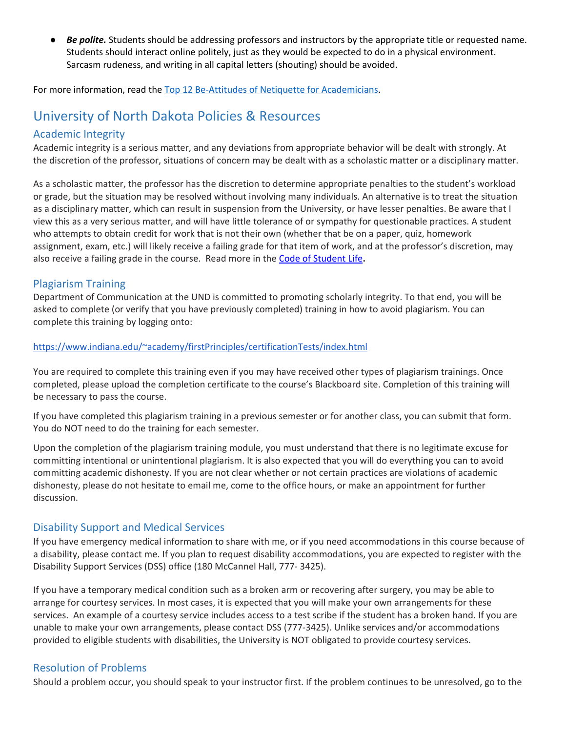Be *polite*. Students should be addressing professors and instructors by the appropriate title or requested name. Students should interact online politely, just as they would be expected to do in a physical environment. Sarcasm rudeness, and writing in all capital letters (shouting) should be avoided.

For more information, read the Top 12 Be-Attitudes of Netiquette for [Academicians.](http://www.ronberk.com/articles/2011_attitudes.pdf)

# University of North Dakota Policies & Resources

## Academic Integrity

Academic integrity is a serious matter, and any deviations from appropriate behavior will be dealt with strongly. At the discretion of the professor, situations of concern may be dealt with as a scholastic matter or a disciplinary matter.

As a scholastic matter, the professor has the discretion to determine appropriate penalties to the student's workload or grade, but the situation may be resolved without involving many individuals. An alternative is to treat the situation as a disciplinary matter, which can result in suspension from the University, or have lesser penalties. Be aware that I view this as a very serious matter, and will have little tolerance of or sympathy for questionable practices. A student who attempts to obtain credit for work that is not their own (whether that be on a paper, quiz, homework assignment, exam, etc.) will likely receive a failing grade for that item of work, and at the professor's discretion, may also receive a failing grade in the course. Read more in the Code of [Student](http://www1.und.edu/code-of-student-life/) Life**.**

#### Plagiarism Training

Department of Communication at the UND is committed to promoting scholarly integrity. To that end, you will be asked to complete (or verify that you have previously completed) training in how to avoid plagiarism. You can complete this training by logging onto:

#### <https://www.indiana.edu/~academy/firstPrinciples/certificationTests/index.html>

You are required to complete this training even if you may have received other types of plagiarism trainings. Once completed, please upload the completion certificate to the course's Blackboard site. Completion of this training will be necessary to pass the course.

If you have completed this plagiarism training in a previous semester or for another class, you can submit that form. You do NOT need to do the training for each semester.

Upon the completion of the plagiarism training module, you must understand that there is no legitimate excuse for committing intentional or unintentional plagiarism. It is also expected that you will do everything you can to avoid committing academic dishonesty. If you are not clear whether or not certain practices are violations of academic dishonesty, please do not hesitate to email me, come to the office hours, or make an appointment for further discussion.

#### Disability Support and Medical Services

If you have emergency medical information to share with me, or if you need accommodations in this course because of a disability, please contact me. If you plan to request disability accommodations, you are expected to register with the Disability Support Services (DSS) office (180 McCannel Hall, 777- 3425).

If you have a temporary medical condition such as a broken arm or recovering after surgery, you may be able to arrange for courtesy services. In most cases, it is expected that you will make your own arrangements for these services. An example of a courtesy service includes access to a test scribe if the student has a broken hand. If you are unable to make your own arrangements, please contact DSS (777-3425). Unlike services and/or accommodations provided to eligible students with disabilities, the University is NOT obligated to provide courtesy services.

#### Resolution of Problems

Should a problem occur, you should speak to your instructor first. If the problem continues to be unresolved, go to the